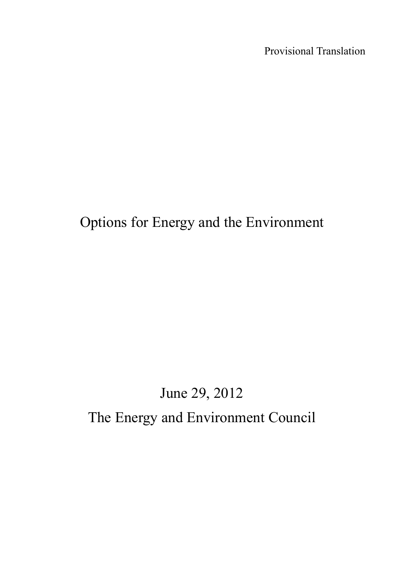Provisional Translation

# Options for Energy and the Environment

# June 29, 2012 The Energy and Environment Council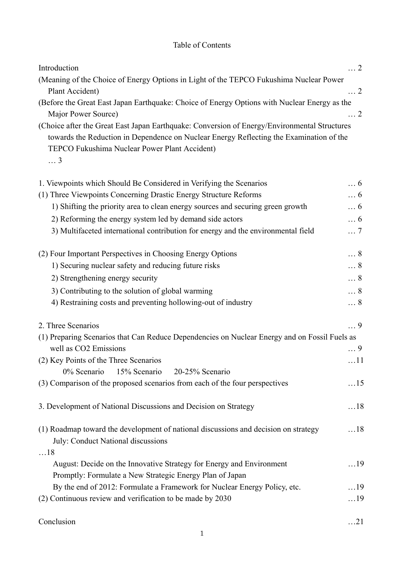## Table of Contents

| Introduction                                                                                                                            | $\ldots$ 2 |  |  |  |  |  |  |
|-----------------------------------------------------------------------------------------------------------------------------------------|------------|--|--|--|--|--|--|
| (Meaning of the Choice of Energy Options in Light of the TEPCO Fukushima Nuclear Power                                                  |            |  |  |  |  |  |  |
| Plant Accident)                                                                                                                         | $\ldots$ 2 |  |  |  |  |  |  |
| (Before the Great East Japan Earthquake: Choice of Energy Options with Nuclear Energy as the<br>Major Power Source)                     |            |  |  |  |  |  |  |
|                                                                                                                                         |            |  |  |  |  |  |  |
| 1. Viewpoints which Should Be Considered in Verifying the Scenarios                                                                     | $\ldots 6$ |  |  |  |  |  |  |
| (1) Three Viewpoints Concerning Drastic Energy Structure Reforms                                                                        | $\ldots 6$ |  |  |  |  |  |  |
| 1) Shifting the priority area to clean energy sources and securing green growth                                                         | $\ldots 6$ |  |  |  |  |  |  |
| 2) Reforming the energy system led by demand side actors                                                                                | $\ldots 6$ |  |  |  |  |  |  |
| 3) Multifaceted international contribution for energy and the environmental field                                                       | $\ldots 7$ |  |  |  |  |  |  |
| (2) Four Important Perspectives in Choosing Energy Options                                                                              | $\ldots 8$ |  |  |  |  |  |  |
| 1) Securing nuclear safety and reducing future risks                                                                                    | $\ldots 8$ |  |  |  |  |  |  |
| 2) Strengthening energy security                                                                                                        | $\ldots 8$ |  |  |  |  |  |  |
| 3) Contributing to the solution of global warming                                                                                       | $\ldots 8$ |  |  |  |  |  |  |
| 4) Restraining costs and preventing hollowing-out of industry                                                                           | $\ldots 8$ |  |  |  |  |  |  |
| 2. Three Scenarios                                                                                                                      | $\ldots$ 9 |  |  |  |  |  |  |
| (1) Preparing Scenarios that Can Reduce Dependencies on Nuclear Energy and on Fossil Fuels as                                           |            |  |  |  |  |  |  |
| well as CO2 Emissions                                                                                                                   | $\ldots$ 9 |  |  |  |  |  |  |
| (2) Key Points of the Three Scenarios                                                                                                   | $\dots 11$ |  |  |  |  |  |  |
| 15% Scenario<br>20-25% Scenario<br>$0\%$ Scenario                                                                                       |            |  |  |  |  |  |  |
| (3) Comparison of the proposed scenarios from each of the four perspectives                                                             | $\dots$ 15 |  |  |  |  |  |  |
| 3. Development of National Discussions and Decision on Strategy                                                                         | $\dots$ 18 |  |  |  |  |  |  |
| (1) Roadmap toward the development of national discussions and decision on strategy<br>July: Conduct National discussions<br>$\dots$ 18 | $\dots$ 18 |  |  |  |  |  |  |
| August: Decide on the Innovative Strategy for Energy and Environment                                                                    | $\dots$ 19 |  |  |  |  |  |  |
| Promptly: Formulate a New Strategic Energy Plan of Japan                                                                                |            |  |  |  |  |  |  |
| By the end of 2012: Formulate a Framework for Nuclear Energy Policy, etc.                                                               | $\dots$ 19 |  |  |  |  |  |  |
| (2) Continuous review and verification to be made by 2030                                                                               | $\dots$ 19 |  |  |  |  |  |  |
| Conclusion                                                                                                                              | $\dots$ 21 |  |  |  |  |  |  |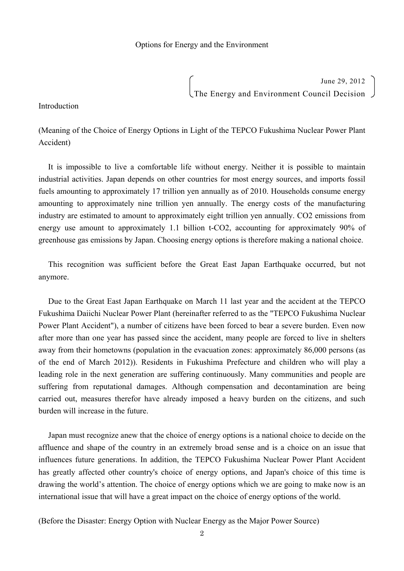June 29, 2012 The Energy and Environment Council Decision

Introduction

(Meaning of the Choice of Energy Options in Light of the TEPCO Fukushima Nuclear Power Plant Accident)

It is impossible to live a comfortable life without energy. Neither it is possible to maintain industrial activities. Japan depends on other countries for most energy sources, and imports fossil fuels amounting to approximately 17 trillion yen annually as of 2010. Households consume energy amounting to approximately nine trillion yen annually. The energy costs of the manufacturing industry are estimated to amount to approximately eight trillion yen annually. CO2 emissions from energy use amount to approximately 1.1 billion t-CO2, accounting for approximately 90% of greenhouse gas emissions by Japan. Choosing energy options is therefore making a national choice.

This recognition was sufficient before the Great East Japan Earthquake occurred, but not anymore.

Due to the Great East Japan Earthquake on March 11 last year and the accident at the TEPCO Fukushima Daiichi Nuclear Power Plant (hereinafter referred to as the "TEPCO Fukushima Nuclear Power Plant Accident"), a number of citizens have been forced to bear a severe burden. Even now after more than one year has passed since the accident, many people are forced to live in shelters away from their hometowns (population in the evacuation zones: approximately 86,000 persons (as of the end of March 2012)). Residents in Fukushima Prefecture and children who will play a leading role in the next generation are suffering continuously. Many communities and people are suffering from reputational damages. Although compensation and decontamination are being carried out, measures therefor have already imposed a heavy burden on the citizens, and such burden will increase in the future.

Japan must recognize anew that the choice of energy options is a national choice to decide on the affluence and shape of the country in an extremely broad sense and is a choice on an issue that influences future generations. In addition, the TEPCO Fukushima Nuclear Power Plant Accident has greatly affected other country's choice of energy options, and Japan's choice of this time is drawing the world's attention. The choice of energy options which we are going to make now is an international issue that will have a great impact on the choice of energy options of the world.

(Before the Disaster: Energy Option with Nuclear Energy as the Major Power Source)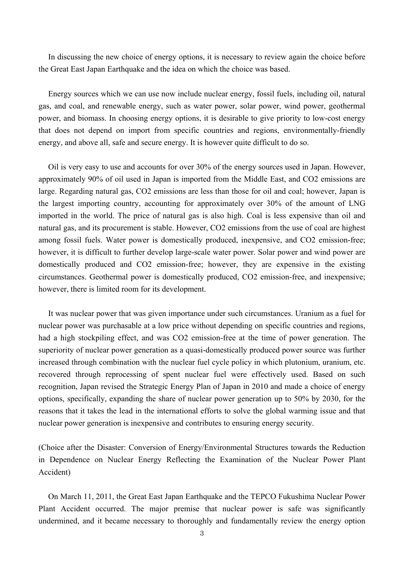In discussing the new choice of energy options, it is necessary to review again the choice before the Great East Japan Earthquake and the idea on which the choice was based.

Energy sources which we can use now include nuclear energy, fossil fuels, including oil, natural gas, and coal, and renewable energy, such as water power, solar power, wind power, geothermal power, and biomass. In choosing energy options, it is desirable to give priority to low-cost energy that does not depend on import from specific countries and regions, environmentally-friendly energy, and above all, safe and secure energy. It is however quite difficult to do so.

Oil is very easy to use and accounts for over 30% of the energy sources used in Japan. However, approximately 90% of oil used in Japan is imported from the Middle East, and CO2 emissions are large. Regarding natural gas, CO2 emissions are less than those for oil and coal; however, Japan is the largest importing country, accounting for approximately over 30% of the amount of LNG imported in the world. The price of natural gas is also high. Coal is less expensive than oil and natural gas, and its procurement is stable. However, CO2 emissions from the use of coal are highest among fossil fuels. Water power is domestically produced, inexpensive, and CO2 emission-free; however, it is difficult to further develop large-scale water power. Solar power and wind power are domestically produced and CO2 emission-free; however, they are expensive in the existing circumstances. Geothermal power is domestically produced, CO2 emission-free, and inexpensive; however, there is limited room for its development.

It was nuclear power that was given importance under such circumstances. Uranium as a fuel for nuclear power was purchasable at a low price without depending on specific countries and regions, had a high stockpiling effect, and was CO2 emission-free at the time of power generation. The superiority of nuclear power generation as a quasi-domestically produced power source was further increased through combination with the nuclear fuel cycle policy in which plutonium, uranium, etc. recovered through reprocessing of spent nuclear fuel were effectively used. Based on such recognition, Japan revised the Strategic Energy Plan of Japan in 2010 and made a choice of energy options, specifically, expanding the share of nuclear power generation up to 50% by 2030, for the reasons that it takes the lead in the international efforts to solve the global warming issue and that nuclear power generation is inexpensive and contributes to ensuring energy security.

(Choice after the Disaster: Conversion of Energy/Environmental Structures towards the Reduction in Dependence on Nuclear Energy Reflecting the Examination of the Nuclear Power Plant Accident)

On March 11, 2011, the Great East Japan Earthquake and the TEPCO Fukushima Nuclear Power Plant Accident occurred. The major premise that nuclear power is safe was significantly undermined, and it became necessary to thoroughly and fundamentally review the energy option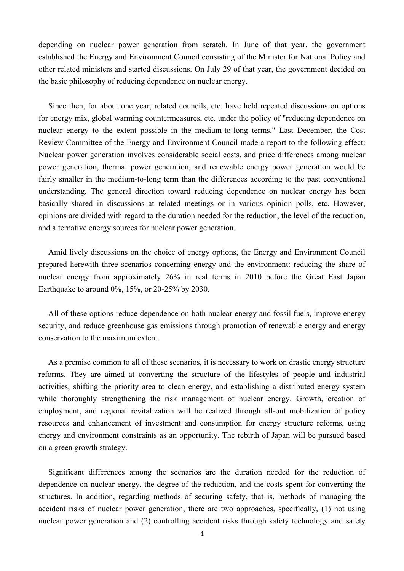depending on nuclear power generation from scratch. In June of that year, the government established the Energy and Environment Council consisting of the Minister for National Policy and other related ministers and started discussions. On July 29 of that year, the government decided on the basic philosophy of reducing dependence on nuclear energy.

Since then, for about one year, related councils, etc. have held repeated discussions on options for energy mix, global warming countermeasures, etc. under the policy of "reducing dependence on nuclear energy to the extent possible in the medium-to-long terms." Last December, the Cost Review Committee of the Energy and Environment Council made a report to the following effect: Nuclear power generation involves considerable social costs, and price differences among nuclear power generation, thermal power generation, and renewable energy power generation would be fairly smaller in the medium-to-long term than the differences according to the past conventional understanding. The general direction toward reducing dependence on nuclear energy has been basically shared in discussions at related meetings or in various opinion polls, etc. However, opinions are divided with regard to the duration needed for the reduction, the level of the reduction, and alternative energy sources for nuclear power generation.

Amid lively discussions on the choice of energy options, the Energy and Environment Council prepared herewith three scenarios concerning energy and the environment: reducing the share of nuclear energy from approximately 26% in real terms in 2010 before the Great East Japan Earthquake to around 0%, 15%, or 20-25% by 2030.

All of these options reduce dependence on both nuclear energy and fossil fuels, improve energy security, and reduce greenhouse gas emissions through promotion of renewable energy and energy conservation to the maximum extent.

As a premise common to all of these scenarios, it is necessary to work on drastic energy structure reforms. They are aimed at converting the structure of the lifestyles of people and industrial activities, shifting the priority area to clean energy, and establishing a distributed energy system while thoroughly strengthening the risk management of nuclear energy. Growth, creation of employment, and regional revitalization will be realized through all-out mobilization of policy resources and enhancement of investment and consumption for energy structure reforms, using energy and environment constraints as an opportunity. The rebirth of Japan will be pursued based on a green growth strategy.

Significant differences among the scenarios are the duration needed for the reduction of dependence on nuclear energy, the degree of the reduction, and the costs spent for converting the structures. In addition, regarding methods of securing safety, that is, methods of managing the accident risks of nuclear power generation, there are two approaches, specifically, (1) not using nuclear power generation and (2) controlling accident risks through safety technology and safety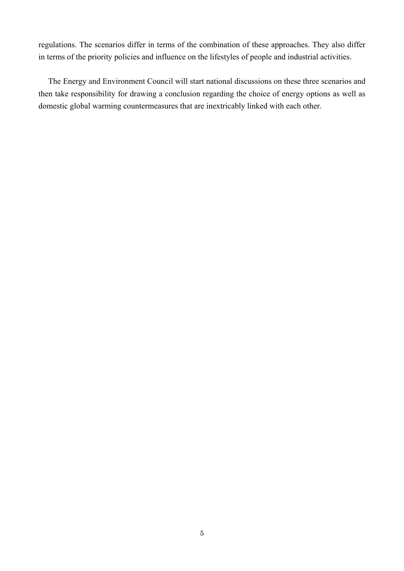regulations. The scenarios differ in terms of the combination of these approaches. They also differ in terms of the priority policies and influence on the lifestyles of people and industrial activities.

The Energy and Environment Council will start national discussions on these three scenarios and then take responsibility for drawing a conclusion regarding the choice of energy options as well as domestic global warming countermeasures that are inextricably linked with each other.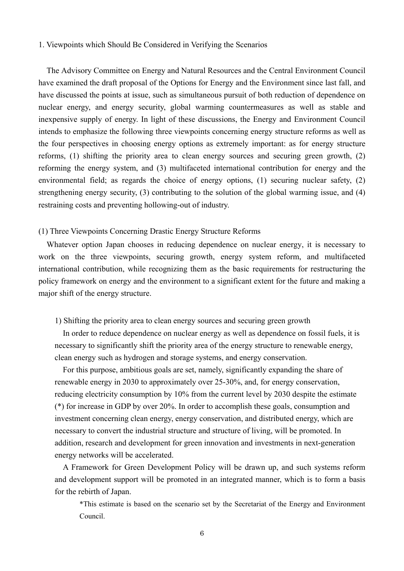## 1. Viewpoints which Should Be Considered in Verifying the Scenarios

The Advisory Committee on Energy and Natural Resources and the Central Environment Council have examined the draft proposal of the Options for Energy and the Environment since last fall, and have discussed the points at issue, such as simultaneous pursuit of both reduction of dependence on nuclear energy, and energy security, global warming countermeasures as well as stable and inexpensive supply of energy. In light of these discussions, the Energy and Environment Council intends to emphasize the following three viewpoints concerning energy structure reforms as well as the four perspectives in choosing energy options as extremely important: as for energy structure reforms, (1) shifting the priority area to clean energy sources and securing green growth, (2) reforming the energy system, and (3) multifaceted international contribution for energy and the environmental field; as regards the choice of energy options, (1) securing nuclear safety, (2) strengthening energy security, (3) contributing to the solution of the global warming issue, and (4) restraining costs and preventing hollowing-out of industry.

## (1) Three Viewpoints Concerning Drastic Energy Structure Reforms

Whatever option Japan chooses in reducing dependence on nuclear energy, it is necessary to work on the three viewpoints, securing growth, energy system reform, and multifaceted international contribution, while recognizing them as the basic requirements for restructuring the policy framework on energy and the environment to a significant extent for the future and making a major shift of the energy structure.

#### 1) Shifting the priority area to clean energy sources and securing green growth

In order to reduce dependence on nuclear energy as well as dependence on fossil fuels, it is necessary to significantly shift the priority area of the energy structure to renewable energy, clean energy such as hydrogen and storage systems, and energy conservation.

For this purpose, ambitious goals are set, namely, significantly expanding the share of renewable energy in 2030 to approximately over 25-30%, and, for energy conservation, reducing electricity consumption by 10% from the current level by 2030 despite the estimate (\*) for increase in GDP by over 20%. In order to accomplish these goals, consumption and investment concerning clean energy, energy conservation, and distributed energy, which are necessary to convert the industrial structure and structure of living, will be promoted. In addition, research and development for green innovation and investments in next-generation energy networks will be accelerated.

A Framework for Green Development Policy will be drawn up, and such systems reform and development support will be promoted in an integrated manner, which is to form a basis for the rebirth of Japan.

\*This estimate is based on the scenario set by the Secretariat of the Energy and Environment Council.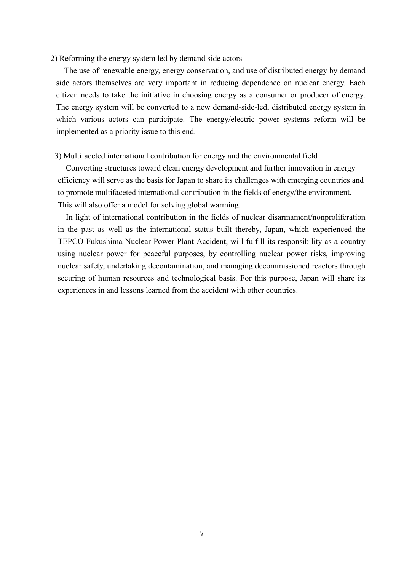## 2) Reforming the energy system led by demand side actors

The use of renewable energy, energy conservation, and use of distributed energy by demand side actors themselves are very important in reducing dependence on nuclear energy. Each citizen needs to take the initiative in choosing energy as a consumer or producer of energy. The energy system will be converted to a new demand-side-led, distributed energy system in which various actors can participate. The energy/electric power systems reform will be implemented as a priority issue to this end.

#### 3) Multifaceted international contribution for energy and the environmental field

Converting structures toward clean energy development and further innovation in energy efficiency will serve as the basis for Japan to share its challenges with emerging countries and to promote multifaceted international contribution in the fields of energy/the environment. This will also offer a model for solving global warming.

In light of international contribution in the fields of nuclear disarmament/nonproliferation in the past as well as the international status built thereby, Japan, which experienced the TEPCO Fukushima Nuclear Power Plant Accident, will fulfill its responsibility as a country using nuclear power for peaceful purposes, by controlling nuclear power risks, improving nuclear safety, undertaking decontamination, and managing decommissioned reactors through securing of human resources and technological basis. For this purpose, Japan will share its experiences in and lessons learned from the accident with other countries.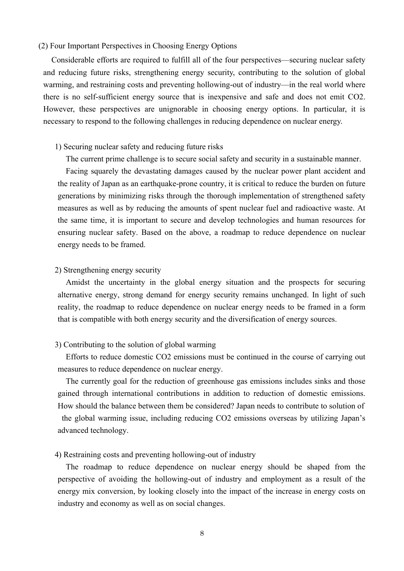## (2) Four Important Perspectives in Choosing Energy Options

Considerable efforts are required to fulfill all of the four perspectives—securing nuclear safety and reducing future risks, strengthening energy security, contributing to the solution of global warming, and restraining costs and preventing hollowing-out of industry—in the real world where there is no self-sufficient energy source that is inexpensive and safe and does not emit CO2. However, these perspectives are unignorable in choosing energy options. In particular, it is necessary to respond to the following challenges in reducing dependence on nuclear energy.

## 1) Securing nuclear safety and reducing future risks

The current prime challenge is to secure social safety and security in a sustainable manner.

Facing squarely the devastating damages caused by the nuclear power plant accident and the reality of Japan as an earthquake-prone country, it is critical to reduce the burden on future generations by minimizing risks through the thorough implementation of strengthened safety measures as well as by reducing the amounts of spent nuclear fuel and radioactive waste. At the same time, it is important to secure and develop technologies and human resources for ensuring nuclear safety. Based on the above, a roadmap to reduce dependence on nuclear energy needs to be framed.

## 2) Strengthening energy security

Amidst the uncertainty in the global energy situation and the prospects for securing alternative energy, strong demand for energy security remains unchanged. In light of such reality, the roadmap to reduce dependence on nuclear energy needs to be framed in a form that is compatible with both energy security and the diversification of energy sources.

## 3) Contributing to the solution of global warming

Efforts to reduce domestic CO2 emissions must be continued in the course of carrying out measures to reduce dependence on nuclear energy.

The currently goal for the reduction of greenhouse gas emissions includes sinks and those gained through international contributions in addition to reduction of domestic emissions. How should the balance between them be considered? Japan needs to contribute to solution of the global warming issue, including reducing CO2 emissions overseas by utilizing Japan's advanced technology.

#### 4) Restraining costs and preventing hollowing-out of industry

The roadmap to reduce dependence on nuclear energy should be shaped from the perspective of avoiding the hollowing-out of industry and employment as a result of the energy mix conversion, by looking closely into the impact of the increase in energy costs on industry and economy as well as on social changes.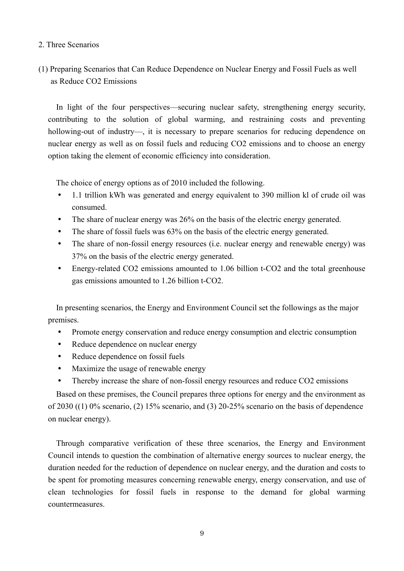## 2. Three Scenarios

## (1) Preparing Scenarios that Can Reduce Dependence on Nuclear Energy and Fossil Fuels as well as Reduce CO2 Emissions

In light of the four perspectives—securing nuclear safety, strengthening energy security, contributing to the solution of global warming, and restraining costs and preventing hollowing-out of industry—, it is necessary to prepare scenarios for reducing dependence on nuclear energy as well as on fossil fuels and reducing CO2 emissions and to choose an energy option taking the element of economic efficiency into consideration.

The choice of energy options as of 2010 included the following.

- 1.1 trillion kWh was generated and energy equivalent to 390 million kl of crude oil was consumed.
- The share of nuclear energy was 26% on the basis of the electric energy generated.
- The share of fossil fuels was 63% on the basis of the electric energy generated.
- The share of non-fossil energy resources (i.e. nuclear energy and renewable energy) was 37% on the basis of the electric energy generated.
- Energy-related CO2 emissions amounted to 1.06 billion t-CO2 and the total greenhouse gas emissions amounted to 1.26 billion t-CO2.

In presenting scenarios, the Energy and Environment Council set the followings as the major premises.

- Promote energy conservation and reduce energy consumption and electric consumption
- Reduce dependence on nuclear energy
- Reduce dependence on fossil fuels
- Maximize the usage of renewable energy
- Thereby increase the share of non-fossil energy resources and reduce CO2 emissions

Based on these premises, the Council prepares three options for energy and the environment as of 2030 ((1)  $0\%$  scenario, (2) 15% scenario, and (3) 20-25% scenario on the basis of dependence on nuclear energy).

Through comparative verification of these three scenarios, the Energy and Environment Council intends to question the combination of alternative energy sources to nuclear energy, the duration needed for the reduction of dependence on nuclear energy, and the duration and costs to be spent for promoting measures concerning renewable energy, energy conservation, and use of clean technologies for fossil fuels in response to the demand for global warming countermeasures.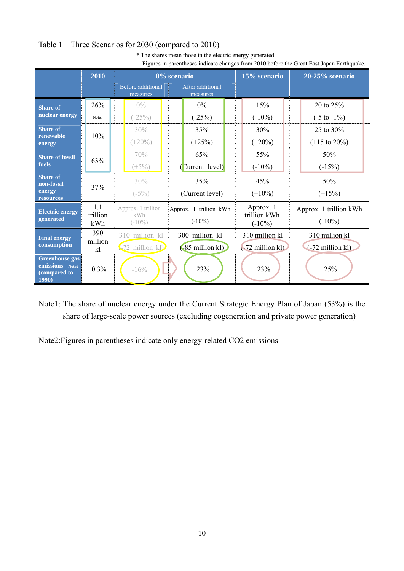## Table 1 Three Scenarios for 2030 (compared to 2010)

| I igaive in parentheses marcure enanges from 2010 octore the Steat Bast supun Barthquare. |                 |                                |                              |                           |                          |  |  |  |  |  |
|-------------------------------------------------------------------------------------------|-----------------|--------------------------------|------------------------------|---------------------------|--------------------------|--|--|--|--|--|
|                                                                                           | 2010            |                                | 0% scenario                  | 15% scenario              | $20-25%$ scenario        |  |  |  |  |  |
|                                                                                           |                 | Before additional<br>measures  | After additional<br>measures |                           |                          |  |  |  |  |  |
| <b>Share of</b>                                                                           | 26%             | $0\%$                          | $0\%$                        | 15%                       | 20 to 25%                |  |  |  |  |  |
| nuclear energy                                                                            | Note1           | $(-25%)$                       | $(-25%)$                     | $(-10\%)$                 | $(-5 \text{ to } -1\%)$  |  |  |  |  |  |
| <b>Share of</b><br>renewable<br>energy                                                    | 10%             | 30%                            | 35%                          | 30%                       | 25 to 30%                |  |  |  |  |  |
|                                                                                           |                 | $(+20\%)$                      | $(+25%)$                     | $(+20\%)$                 | $(+15 \text{ to } 20\%)$ |  |  |  |  |  |
| <b>Share of fossil</b><br>fuels                                                           | 63%             | 70%                            | 65%                          | 55%                       | 50%                      |  |  |  |  |  |
|                                                                                           |                 | $(+5%)$                        | [Current level]              | $(-10\%)$                 | $(-15%)$                 |  |  |  |  |  |
| <b>Share of</b><br>non-fossil                                                             | 37%             | 30%                            | 35%                          | 45%                       | 50%                      |  |  |  |  |  |
| energy<br>resources                                                                       |                 | $(-5%)$                        | (Current level)              | $(+10\%)$                 | $(+15%)$                 |  |  |  |  |  |
| <b>Electric energy</b>                                                                    | 1.1<br>trillion | Approx. 1 trillion<br>kWh      | Approx. 1 trillion kWh       | Approx. 1<br>trillion kWh | Approx. 1 trillion kWh   |  |  |  |  |  |
| generated                                                                                 | kWh             | $(-10\%)$                      | $(-10\%)$                    |                           | $(-10\%)$                |  |  |  |  |  |
| <b>Final energy</b>                                                                       | 390             | 310 million kl                 | 300 million kl               | 310 million kl            | 310 million kl           |  |  |  |  |  |
| consumption                                                                               | million<br>kl   | $\left(\frac{1}{2}$ million kD | $(-85 \text{ million kl})$   | $-72$ million kl)         | $(-72$ million kl)       |  |  |  |  |  |
| <b>Greenhouse gas</b><br>emissions Note2<br>(compared to<br>1990)                         | $-0.3%$         | $-16%$                         | $-23%$                       | $-23%$                    | $-25%$                   |  |  |  |  |  |

\* The shares mean those in the electric energy generated. Figures in parentheses indicate changes from 2010 before the Great East Japan Earthquake.

Note1: The share of nuclear energy under the Current Strategic Energy Plan of Japan (53%) is the share of large-scale power sources (excluding cogeneration and private power generation)

Note2:Figures in parentheses indicate only energy-related CO2 emissions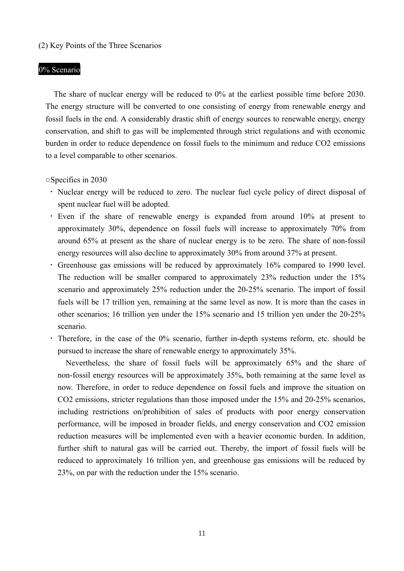## (2) Key Points of the Three Scenarios

## 0% Scenario

The share of nuclear energy will be reduced to 0% at the earliest possible time before 2030. The energy structure will be converted to one consisting of energy from renewable energy and fossil fuels in the end. A considerably drastic shift of energy sources to renewable energy, energy conservation, and shift to gas will be implemented through strict regulations and with economic burden in order to reduce dependence on fossil fuels to the minimum and reduce CO2 emissions to a level comparable to other scenarios.

○Specifics in 2030

- ・ Nuclear energy will be reduced to zero. The nuclear fuel cycle policy of direct disposal of spent nuclear fuel will be adopted.
- ・ Even if the share of renewable energy is expanded from around 10% at present to approximately 30%, dependence on fossil fuels will increase to approximately 70% from around 65% at present as the share of nuclear energy is to be zero. The share of non-fossil energy resources will also decline to approximately 30% from around 37% at present.
- ・ Greenhouse gas emissions will be reduced by approximately 16% compared to 1990 level. The reduction will be smaller compared to approximately 23% reduction under the 15% scenario and approximately 25% reduction under the 20-25% scenario. The import of fossil fuels will be 17 trillion yen, remaining at the same level as now. It is more than the cases in other scenarios; 16 trillion yen under the 15% scenario and 15 trillion yen under the 20-25% scenario.
- ・ Therefore, in the case of the 0% scenario, further in-depth systems reform, etc. should be pursued to increase the share of renewable energy to approximately 35%.

Nevertheless, the share of fossil fuels will be approximately 65% and the share of non-fossil energy resources will be approximately 35%, both remaining at the same level as now. Therefore, in order to reduce dependence on fossil fuels and improve the situation on CO2 emissions, stricter regulations than those imposed under the 15% and 20-25% scenarios, including restrictions on/prohibition of sales of products with poor energy conservation performance, will be imposed in broader fields, and energy conservation and CO2 emission reduction measures will be implemented even with a heavier economic burden. In addition, further shift to natural gas will be carried out. Thereby, the import of fossil fuels will be reduced to approximately 16 trillion yen, and greenhouse gas emissions will be reduced by 23%, on par with the reduction under the 15% scenario.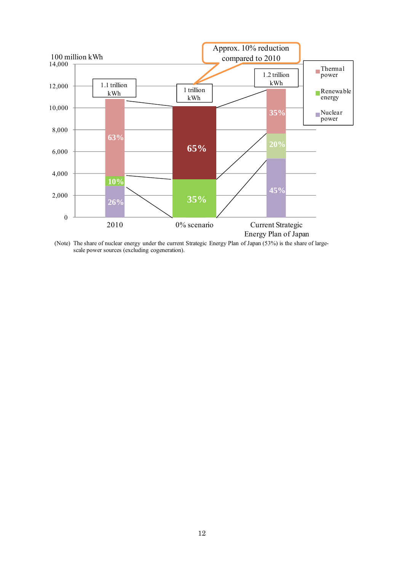

(Note) The share of nuclear energy under the current Strategic Energy Plan of Japan (53%) is the share of largescale power sources (excluding cogeneration).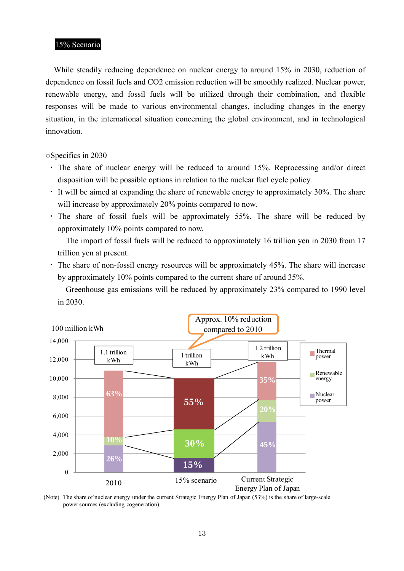## 15% Scenario

While steadily reducing dependence on nuclear energy to around 15% in 2030, reduction of dependence on fossil fuels and CO2 emission reduction will be smoothly realized. Nuclear power, renewable energy, and fossil fuels will be utilized through their combination, and flexible responses will be made to various environmental changes, including changes in the energy situation, in the international situation concerning the global environment, and in technological innovation.

○Specifics in 2030

- ・ The share of nuclear energy will be reduced to around 15%. Reprocessing and/or direct disposition will be possible options in relation to the nuclear fuel cycle policy.
- $\cdot$  It will be aimed at expanding the share of renewable energy to approximately 30%. The share will increase by approximately 20% points compared to now.
- ・ The share of fossil fuels will be approximately 55%. The share will be reduced by approximately 10% points compared to now.

The import of fossil fuels will be reduced to approximately 16 trillion yen in 2030 from 17 trillion yen at present.

・ The share of non-fossil energy resources will be approximately 45%. The share will increase by approximately 10% points compared to the current share of around 35%.

Greenhouse gas emissions will be reduced by approximately 23% compared to 1990 level in 2030.



<sup>(</sup>Note) The share of nuclear energy under the current Strategic Energy Plan of Japan (53%) is the share of large-scale power sources (excluding cogeneration).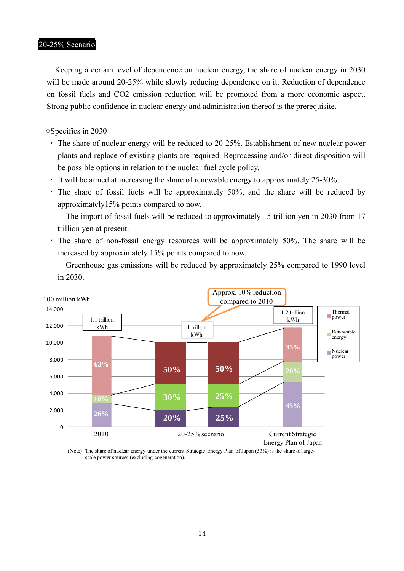## 20-25% Scenario

Keeping a certain level of dependence on nuclear energy, the share of nuclear energy in 2030 will be made around 20-25% while slowly reducing dependence on it. Reduction of dependence on fossil fuels and CO2 emission reduction will be promoted from a more economic aspect. Strong public confidence in nuclear energy and administration thereof is the prerequisite.

○Specifics in 2030

- ・ The share of nuclear energy will be reduced to 20-25%. Establishment of new nuclear power plants and replace of existing plants are required. Reprocessing and/or direct disposition will be possible options in relation to the nuclear fuel cycle policy.
- ・ It will be aimed at increasing the share of renewable energy to approximately 25-30%.
- ・ The share of fossil fuels will be approximately 50%, and the share will be reduced by approximately15% points compared to now.

The import of fossil fuels will be reduced to approximately 15 trillion yen in 2030 from 17 trillion yen at present.

・ The share of non-fossil energy resources will be approximately 50%. The share will be increased by approximately 15% points compared to now.

Greenhouse gas emissions will be reduced by approximately 25% compared to 1990 level in 2030.



(Note) The share of nuclear energy under the current Strategic Energy Plan of Japan (53%) is the share of largescale power sources (excluding cogeneration).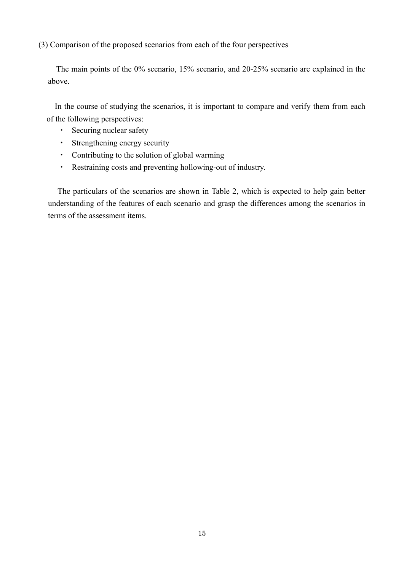(3) Comparison of the proposed scenarios from each of the four perspectives

The main points of the 0% scenario, 15% scenario, and 20-25% scenario are explained in the above.

In the course of studying the scenarios, it is important to compare and verify them from each of the following perspectives:

- ・ Securing nuclear safety
- ・ Strengthening energy security
- ・ Contributing to the solution of global warming
- ・ Restraining costs and preventing hollowing-out of industry.

The particulars of the scenarios are shown in Table 2, which is expected to help gain better understanding of the features of each scenario and grasp the differences among the scenarios in terms of the assessment items.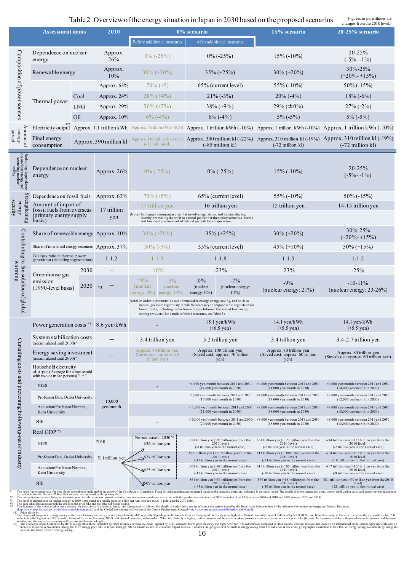#### Table 2 Overview of the energy situation in Japan in 2030 based on the proposed scenarios (Figures in parentheses are

| <b>Assessment items</b>                                                    |                                                                                                            | Table 2 Overview of the energy situation in Japan in 2030 based on the proposed scenarios<br>2010 |                                   |                                                                                                                                                                                                                                                                                                                            | 0% scenario               |                                                                                                                                                                                                                                                                                                                                         | 15% scenario                                                                              | changes from the 2010 level.)                                                                          |                                                                                                                                                       |               |                       |
|----------------------------------------------------------------------------|------------------------------------------------------------------------------------------------------------|---------------------------------------------------------------------------------------------------|-----------------------------------|----------------------------------------------------------------------------------------------------------------------------------------------------------------------------------------------------------------------------------------------------------------------------------------------------------------------------|---------------------------|-----------------------------------------------------------------------------------------------------------------------------------------------------------------------------------------------------------------------------------------------------------------------------------------------------------------------------------------|-------------------------------------------------------------------------------------------|--------------------------------------------------------------------------------------------------------|-------------------------------------------------------------------------------------------------------------------------------------------------------|---------------|-----------------------|
|                                                                            |                                                                                                            |                                                                                                   | <b>Before additional measures</b> |                                                                                                                                                                                                                                                                                                                            | After additional measures |                                                                                                                                                                                                                                                                                                                                         |                                                                                           | 20-25% scenario                                                                                        |                                                                                                                                                       |               |                       |
|                                                                            | Dependence on nuclear<br>energy                                                                            |                                                                                                   | Approx.<br>26%                    | $0\%$ (-25%)                                                                                                                                                                                                                                                                                                               |                           | $0\%$ (-25%)                                                                                                                                                                                                                                                                                                                            |                                                                                           |                                                                                                        |                                                                                                                                                       | $15\%$ (-10%) | 20-25%<br>$(-5% -1%)$ |
|                                                                            | Renewable energy                                                                                           |                                                                                                   | Approx.<br>10%                    | $30\% (+20\%)$                                                                                                                                                                                                                                                                                                             |                           | $35\% (+25\%)$                                                                                                                                                                                                                                                                                                                          |                                                                                           | $30\% (+20\%)$                                                                                         | 30%-25%<br>$(+20\% - 15\%)$                                                                                                                           |               |                       |
| Composition of power sources                                               |                                                                                                            |                                                                                                   | Approx. 63%                       | $70\% (+5)$                                                                                                                                                                                                                                                                                                                |                           | 65% (current level)                                                                                                                                                                                                                                                                                                                     |                                                                                           | $55\%$ (-10%)                                                                                          | 50% (-15%)                                                                                                                                            |               |                       |
|                                                                            | Coal                                                                                                       |                                                                                                   | Approx. 24%                       | $28\% (+4\%)$                                                                                                                                                                                                                                                                                                              |                           | $21\%$ (-3%)                                                                                                                                                                                                                                                                                                                            |                                                                                           | $20\%$ (-4%)                                                                                           | $18\%$ (-6%)                                                                                                                                          |               |                       |
|                                                                            | Thermal power                                                                                              | <b>LNG</b>                                                                                        | Approx. 29%                       | $36\% (+7\%)$                                                                                                                                                                                                                                                                                                              |                           | $38\% (+9\%)$                                                                                                                                                                                                                                                                                                                           |                                                                                           | $29\% (\pm 0\%)$                                                                                       | $27\%$ (-2%)                                                                                                                                          |               |                       |
|                                                                            | Oil                                                                                                        |                                                                                                   | Approx. 10%                       | $6\%$ (-4%)                                                                                                                                                                                                                                                                                                                |                           | $6\%$ (-4%)                                                                                                                                                                                                                                                                                                                             |                                                                                           | $5\%(-5\%)$                                                                                            | $5\%(-5\%)$                                                                                                                                           |               |                       |
|                                                                            | Electricity output Approx. 1.1 trillion kWh Approx. 1 trillion kWh (-10%)                                  |                                                                                                   |                                   |                                                                                                                                                                                                                                                                                                                            |                           |                                                                                                                                                                                                                                                                                                                                         | Approx. 1 trillion kWh (-10%) Approx. 1 trillion kWh (-10%) Approx. 1 trillion kWh (-10%) |                                                                                                        |                                                                                                                                                       |               |                       |
| Amount of<br>energy<br>saved                                               | Final energy<br>consumption                                                                                | Approx. 390 million kl                                                                            |                                   | $(-72 \text{ million k}])$                                                                                                                                                                                                                                                                                                 |                           | $(-85$ million kl)                                                                                                                                                                                                                                                                                                                      |                                                                                           | $(-72 \text{ million kl})$                                                                             | Approx. 310 million kl (-19%) Approx. 300 million kl (-22%) Approx. 310 million kl (-19%) Approx. 310 million kl (-19%)<br>$(-72 \text{ million kl})$ |               |                       |
| Reducing dependence<br>on nuclear energy and<br>securing nuclear<br>safety | Dependence on nuclear<br>energy                                                                            |                                                                                                   | Approx. $26%$                     | $0\%$ (-25%)                                                                                                                                                                                                                                                                                                               |                           | $0\%$ (-25%)                                                                                                                                                                                                                                                                                                                            |                                                                                           | $15\%$ (-10%)                                                                                          | 20-25%<br>$(-5% -1%)$                                                                                                                                 |               |                       |
|                                                                            | Dependence on fossil fuels Approx. 63%                                                                     |                                                                                                   |                                   | $70\% (+5\%)$                                                                                                                                                                                                                                                                                                              |                           | 65% (current level)                                                                                                                                                                                                                                                                                                                     |                                                                                           | $55\%$ (-10%)                                                                                          | $50\%$ (-15%)                                                                                                                                         |               |                       |
| security<br>energy                                                         | Amount of import of<br>fossil fuels from overseas                                                          |                                                                                                   | 17 trillion                       | 17 trillion yen                                                                                                                                                                                                                                                                                                            |                           |                                                                                                                                                                                                                                                                                                                                         | 16 trillion yen                                                                           | 15 trillion yen                                                                                        | 14-15 trillion yen                                                                                                                                    |               |                       |
| Strengthening                                                              | (primary energy supply)<br>basis)                                                                          |                                                                                                   | yen                               | and low-cost procurement of natural gas will be a major issue.                                                                                                                                                                                                                                                             |                           | (Note) Implement strong measures that involve regulations and burden sharing, thereby promoting the shift to natural gas further than other scenarios. Stable                                                                                                                                                                           |                                                                                           |                                                                                                        |                                                                                                                                                       |               |                       |
| Contributing to the solution of global<br>$\sqrt{M}$ warming               | Share of renewable energy Approx. 10%                                                                      |                                                                                                   |                                   | $30\% (+20\%)$                                                                                                                                                                                                                                                                                                             |                           | $35\% (+25\%)$                                                                                                                                                                                                                                                                                                                          |                                                                                           | $30\% (+20\%)$                                                                                         | $30\% - 25\%$<br>$(+20\% - 15\%)$                                                                                                                     |               |                       |
|                                                                            | Share of non-fossil energy resources Approx. 37%                                                           |                                                                                                   |                                   | $30\% (-5\%)$                                                                                                                                                                                                                                                                                                              |                           | 35% (current level)                                                                                                                                                                                                                                                                                                                     |                                                                                           | $45\% (+10\%)$                                                                                         | $50\% (+15\%)$                                                                                                                                        |               |                       |
|                                                                            | Coal/gas ratio in thermal power<br>generation (including cogeneration)                                     |                                                                                                   | 1:1.2                             | 1:1.3                                                                                                                                                                                                                                                                                                                      |                           | 1:1.8                                                                                                                                                                                                                                                                                                                                   |                                                                                           | 1:1.5                                                                                                  | 1:1.5                                                                                                                                                 |               |                       |
|                                                                            | 2030<br>Greenhouse gas                                                                                     |                                                                                                   |                                   | $-16%$                                                                                                                                                                                                                                                                                                                     |                           | $-23%$                                                                                                                                                                                                                                                                                                                                  |                                                                                           | $-23%$                                                                                                 | $-25%$                                                                                                                                                |               |                       |
|                                                                            | emission<br>$(1990$ -level basis)                                                                          | 2020                                                                                              | $*3$                              | $+0\%$<br><i>(nuclear)</i><br>energy: $0\%$ ) energy: $14\%$ )                                                                                                                                                                                                                                                             | $-5\%$<br>(nuclear        | $-0\%$<br>(nuclear)<br>energy: $0\%$ )                                                                                                                                                                                                                                                                                                  | $-7%$<br>(nuclear energy:<br>14%                                                          | $-9%$<br>(nuclear energy: 21%)                                                                         | $-10-11\%$<br>(nuclear energy: $23-26%$ )                                                                                                             |               |                       |
|                                                                            |                                                                                                            |                                                                                                   |                                   | (Note) In order to promote the use of renewable energy, energy saving, and shift to<br>natural gas more vigorously, it will be necessary to impose strict regulations in<br>broad fields, including restriction and prohibition of the sale of low energy<br>saving products (for details of these measures, see Table 3). |                           |                                                                                                                                                                                                                                                                                                                                         |                                                                                           |                                                                                                        |                                                                                                                                                       |               |                       |
|                                                                            | Power generation costs *1 8.6 yen/kWh                                                                      |                                                                                                   |                                   |                                                                                                                                                                                                                                                                                                                            |                           | $15.1$ yen/kWh<br>$(+6.5 \text{ yen})$                                                                                                                                                                                                                                                                                                  |                                                                                           | $14.1$ yen/kWh<br>$(+5.5 \text{ yen})$                                                                 | $14.1$ yen/kWh<br>$(+5.5 \text{ yen})$                                                                                                                |               |                       |
|                                                                            | System stabilization costs<br>(accumulated until 2030) *1                                                  |                                                                                                   |                                   | 3.4 trillion yen                                                                                                                                                                                                                                                                                                           |                           | 5.2 trillion yen                                                                                                                                                                                                                                                                                                                        |                                                                                           | 3.4 trillion yen                                                                                       | 3.4-2.7 trillion yen                                                                                                                                  |               |                       |
|                                                                            | Energy saving investment<br>(accumulated until 2030) $*1$                                                  |                                                                                                   |                                   | Approx. 80 trillion yen<br>(Saved cost: approx. 60)<br>trillion yen)                                                                                                                                                                                                                                                       |                           | Approx. 100 trillion yen<br>(Saved cost: approx. 70 trillion<br>yen)                                                                                                                                                                                                                                                                    |                                                                                           | Approx. 80 trillion yen<br>(Saved cost: approx. 60 trillion<br>yen)                                    | Approx. 80 trillion yen<br>(Saved cost: approx. 60 trillion yen)                                                                                      |               |                       |
|                                                                            | Household electricity<br>charges (Average for a household<br>with two or more persons) <sup>*1, 4, 5</sup> |                                                                                                   |                                   |                                                                                                                                                                                                                                                                                                                            |                           |                                                                                                                                                                                                                                                                                                                                         |                                                                                           |                                                                                                        |                                                                                                                                                       |               |                       |
|                                                                            | <b>NIES</b>                                                                                                |                                                                                                   |                                   |                                                                                                                                                                                                                                                                                                                            |                           | $+4,000$ yen/month between 2011 and 2030<br>$(14,000 \text{ yen/month in } 2030)$                                                                                                                                                                                                                                                       |                                                                                           | $+4,000$ yen/month between 2011 and 2030<br>$(14,000$ yen/month in 2030)                               | +4,000 yen/month between 2011 and 2030<br>$(14,000 \text{ yen/month in } 2030)$                                                                       |               |                       |
|                                                                            | Professor Ban, Osaka University                                                                            |                                                                                                   | 10,000                            |                                                                                                                                                                                                                                                                                                                            |                           | $+5,000$ yen/month between 2011 and 2030<br>$(15,000$ yen/month in 2030)                                                                                                                                                                                                                                                                |                                                                                           | +4,000 yen/month between 2011 and 2030<br>(14,000 yen/month in 2030)                                   | $+2,000$ yen/month between 2011 and 2030<br>$(12,000$ yen/month in 2030)                                                                              |               |                       |
|                                                                            | Associate Professor Nomura,<br>Keio University                                                             |                                                                                                   | yen/month                         |                                                                                                                                                                                                                                                                                                                            |                           | $+11,000$ yen/month between 2011 and 2030<br>(21,000 yen/month in 2030)                                                                                                                                                                                                                                                                 |                                                                                           | $+8,000$ yen/month between 2011 and 2030<br>(18,000 yen/month in 2030)                                 | +8,000 yen/month between 2011 and 2030<br>$(18,000$ yen/month in 2030)                                                                                |               |                       |
|                                                                            | RIJE                                                                                                       |                                                                                                   |                                   |                                                                                                                                                                                                                                                                                                                            |                           | $+10,000$ yen/month between 2011 and 2030<br>(20,000 yen/month in 2030)                                                                                                                                                                                                                                                                 |                                                                                           | $+8,000$ yen/month between 2011 and 2030<br>(18,000 yen/month in 2030)                                 | $+8,000$ yen/month between 2011 and 2030<br>$(18,000$ yen/month in 2030)                                                                              |               |                       |
| Curtailing costs and preventing hollowing-out of industry                  | Real GDP <sup>*5</sup>                                                                                     |                                                                                                   |                                   |                                                                                                                                                                                                                                                                                                                            |                           |                                                                                                                                                                                                                                                                                                                                         |                                                                                           |                                                                                                        |                                                                                                                                                       |               |                       |
|                                                                            | <b>NIES</b>                                                                                                |                                                                                                   | 2010                              | Normal case in 2030 <sup>*2</sup><br>636 trillion yen                                                                                                                                                                                                                                                                      |                           | 628 trillion yen (+97 trillion yen from the 2010 level)<br>(-8 trillion yen in the normal case)                                                                                                                                                                                                                                         |                                                                                           | 634 trillion yen (+123 trillion yen from the $2010$ level)<br>(-2 trillion yen in the normal case)     | 634 trillion yen (+123 trillion yen from the 2010 level)<br>(-2 trillion yen in the normal case)                                                      |               |                       |
|                                                                            | Professor Ban, Osaka University                                                                            |                                                                                                   | 511 trillion yen                  | $\frac{1}{2}624$ trillion yen                                                                                                                                                                                                                                                                                              |                           | 608 trillion yen (+117 trillion yen from the<br>$2010$ level)<br>(-15 trillion yen in the normal case)                                                                                                                                                                                                                                  |                                                                                           | 611 trillion yen (+100 trillion yen from the<br>$2010$ level)<br>(-13 trillion yen in the normal case) | 614 trillion yen (+103 trillion yen from the<br>$2010$ level)<br>(-10 trillion yen in the normal case)                                                |               |                       |
|                                                                            | Associate Professor Nomura,<br>Keio University                                                             |                                                                                                   |                                   | $\leq 25$ trillion yen                                                                                                                                                                                                                                                                                                     |                           | 609 trillion yen $(+98$ trillion yen from the<br>2010 level)<br>(-17 trillion yen in the normal case)                                                                                                                                                                                                                                   |                                                                                           | 616 trillion yen (+105 trillion yen from the<br>$2010$ level)<br>(-10 trillion yen in the normal case) | 617 trillion yen (+106 trillion yen from the<br>2010 level)<br>(-9 trillion yen in the normal case)                                                   |               |                       |
|                                                                            | RIE                                                                                                        |                                                                                                   |                                   | §609 trillion yen                                                                                                                                                                                                                                                                                                          |                           | 564 trillion yen (+53 trillion yen from the<br>$2010$ level)<br>(-45 trillion yen in the normal case)<br>The power generation costs for new plants are estimates indicated in the report of the Cost Review Committee. Those for existing plants are estimated based on the operating costs, etc. indicated in the same report. The det |                                                                                           | 579 trillion yen (+68 trillion yen from the<br>$2010$ level)<br>(-30 trillion yen in the normal case)  | 581 trillion yen (+70 trillion yen from the 2010<br>level)<br>(-28 trillion yen in the normal case)                                                   |               |                       |

<sup>41</sup> The power generation costs for new plants are estimated in the reparation distanded in the report of the Cost Review Committee. Those for resting plants are estimated on the operating costs, etc. indicated in the some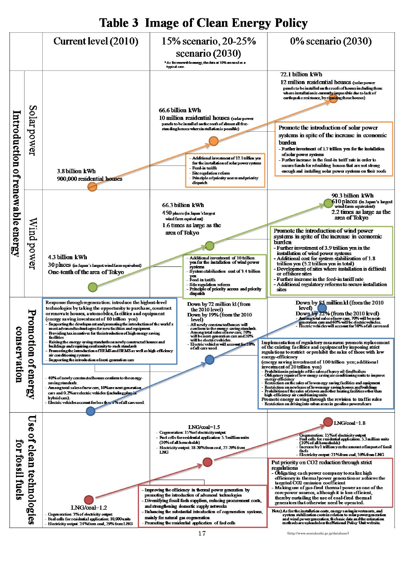## **Table 3 Image of Clean Energy Policy**

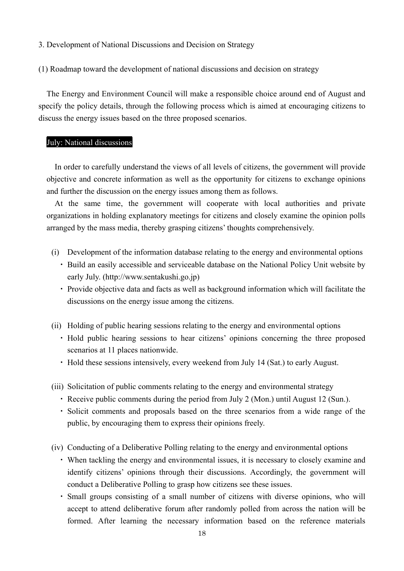3. Development of National Discussions and Decision on Strategy

(1) Roadmap toward the development of national discussions and decision on strategy

The Energy and Environment Council will make a responsible choice around end of August and specify the policy details, through the following process which is aimed at encouraging citizens to discuss the energy issues based on the three proposed scenarios.

## July: National discussions

In order to carefully understand the views of all levels of citizens, the government will provide objective and concrete information as well as the opportunity for citizens to exchange opinions and further the discussion on the energy issues among them as follows.

At the same time, the government will cooperate with local authorities and private organizations in holding explanatory meetings for citizens and closely examine the opinion polls arranged by the mass media, thereby grasping citizens' thoughts comprehensively.

- (i) Development of the information database relating to the energy and environmental options
	- ・ Build an easily accessible and serviceable database on the National Policy Unit website by early July. (http://www.sentakushi.go.jp)
	- ・ Provide objective data and facts as well as background information which will facilitate the discussions on the energy issue among the citizens.
- (ii) Holding of public hearing sessions relating to the energy and environmental options
	- ・ Hold public hearing sessions to hear citizens' opinions concerning the three proposed scenarios at 11 places nationwide.
	- ・ Hold these sessions intensively, every weekend from July 14 (Sat.) to early August.
- (iii) Solicitation of public comments relating to the energy and environmental strategy
	- ・ Receive public comments during the period from July 2 (Mon.) until August 12 (Sun.).
	- ・ Solicit comments and proposals based on the three scenarios from a wide range of the public, by encouraging them to express their opinions freely.
- (iv) Conducting of a Deliberative Polling relating to the energy and environmental options
	- ・ When tackling the energy and environmental issues, it is necessary to closely examine and identify citizens' opinions through their discussions. Accordingly, the government will conduct a Deliberative Polling to grasp how citizens see these issues.
	- ・ Small groups consisting of a small number of citizens with diverse opinions, who will accept to attend deliberative forum after randomly polled from across the nation will be formed. After learning the necessary information based on the reference materials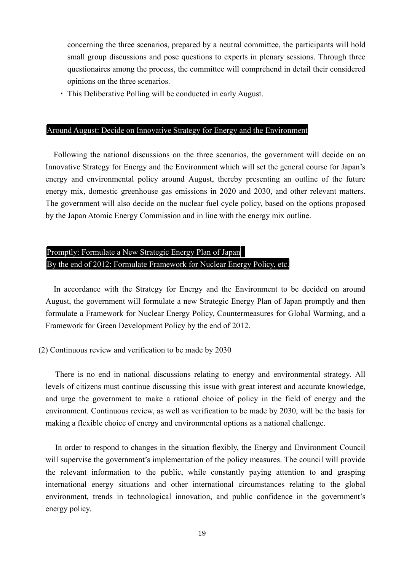concerning the three scenarios, prepared by a neutral committee, the participants will hold small group discussions and pose questions to experts in plenary sessions. Through three questionaires among the process, the committee will comprehend in detail their considered opinions on the three scenarios.

・ This Deliberative Polling will be conducted in early August.

## Around August: Decide on Innovative Strategy for Energy and the Environment

Following the national discussions on the three scenarios, the government will decide on an Innovative Strategy for Energy and the Environment which will set the general course for Japan's energy and environmental policy around August, thereby presenting an outline of the future energy mix, domestic greenhouse gas emissions in 2020 and 2030, and other relevant matters. The government will also decide on the nuclear fuel cycle policy, based on the options proposed by the Japan Atomic Energy Commission and in line with the energy mix outline.

## Promptly: Formulate a New Strategic Energy Plan of Japan By the end of 2012: Formulate Framework for Nuclear Energy Policy, etc.

In accordance with the Strategy for Energy and the Environment to be decided on around August, the government will formulate a new Strategic Energy Plan of Japan promptly and then formulate a Framework for Nuclear Energy Policy, Countermeasures for Global Warming, and a Framework for Green Development Policy by the end of 2012.

## (2) Continuous review and verification to be made by 2030

There is no end in national discussions relating to energy and environmental strategy. All levels of citizens must continue discussing this issue with great interest and accurate knowledge, and urge the government to make a rational choice of policy in the field of energy and the environment. Continuous review, as well as verification to be made by 2030, will be the basis for making a flexible choice of energy and environmental options as a national challenge.

In order to respond to changes in the situation flexibly, the Energy and Environment Council will supervise the government's implementation of the policy measures. The council will provide the relevant information to the public, while constantly paying attention to and grasping international energy situations and other international circumstances relating to the global environment, trends in technological innovation, and public confidence in the government's energy policy.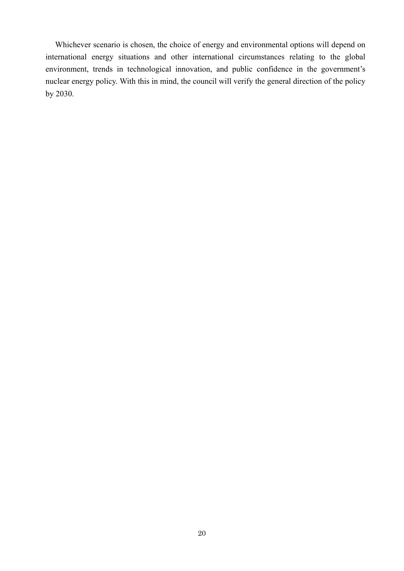Whichever scenario is chosen, the choice of energy and environmental options will depend on international energy situations and other international circumstances relating to the global environment, trends in technological innovation, and public confidence in the government's nuclear energy policy. With this in mind, the council will verify the general direction of the policy by 2030.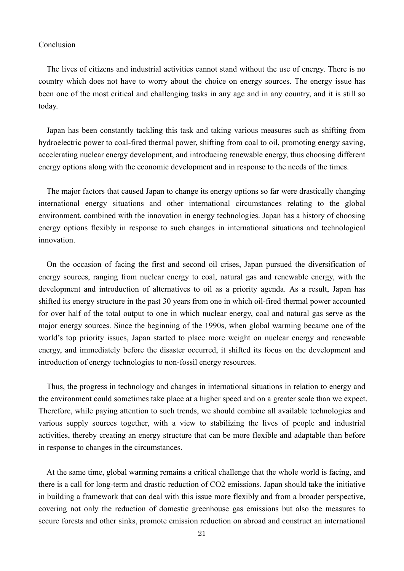## Conclusion

The lives of citizens and industrial activities cannot stand without the use of energy. There is no country which does not have to worry about the choice on energy sources. The energy issue has been one of the most critical and challenging tasks in any age and in any country, and it is still so today.

Japan has been constantly tackling this task and taking various measures such as shifting from hydroelectric power to coal-fired thermal power, shifting from coal to oil, promoting energy saving, accelerating nuclear energy development, and introducing renewable energy, thus choosing different energy options along with the economic development and in response to the needs of the times.

The major factors that caused Japan to change its energy options so far were drastically changing international energy situations and other international circumstances relating to the global environment, combined with the innovation in energy technologies. Japan has a history of choosing energy options flexibly in response to such changes in international situations and technological innovation.

On the occasion of facing the first and second oil crises, Japan pursued the diversification of energy sources, ranging from nuclear energy to coal, natural gas and renewable energy, with the development and introduction of alternatives to oil as a priority agenda. As a result, Japan has shifted its energy structure in the past 30 years from one in which oil-fired thermal power accounted for over half of the total output to one in which nuclear energy, coal and natural gas serve as the major energy sources. Since the beginning of the 1990s, when global warming became one of the world's top priority issues, Japan started to place more weight on nuclear energy and renewable energy, and immediately before the disaster occurred, it shifted its focus on the development and introduction of energy technologies to non-fossil energy resources.

Thus, the progress in technology and changes in international situations in relation to energy and the environment could sometimes take place at a higher speed and on a greater scale than we expect. Therefore, while paying attention to such trends, we should combine all available technologies and various supply sources together, with a view to stabilizing the lives of people and industrial activities, thereby creating an energy structure that can be more flexible and adaptable than before in response to changes in the circumstances.

At the same time, global warming remains a critical challenge that the whole world is facing, and there is a call for long-term and drastic reduction of CO2 emissions. Japan should take the initiative in building a framework that can deal with this issue more flexibly and from a broader perspective, covering not only the reduction of domestic greenhouse gas emissions but also the measures to secure forests and other sinks, promote emission reduction on abroad and construct an international